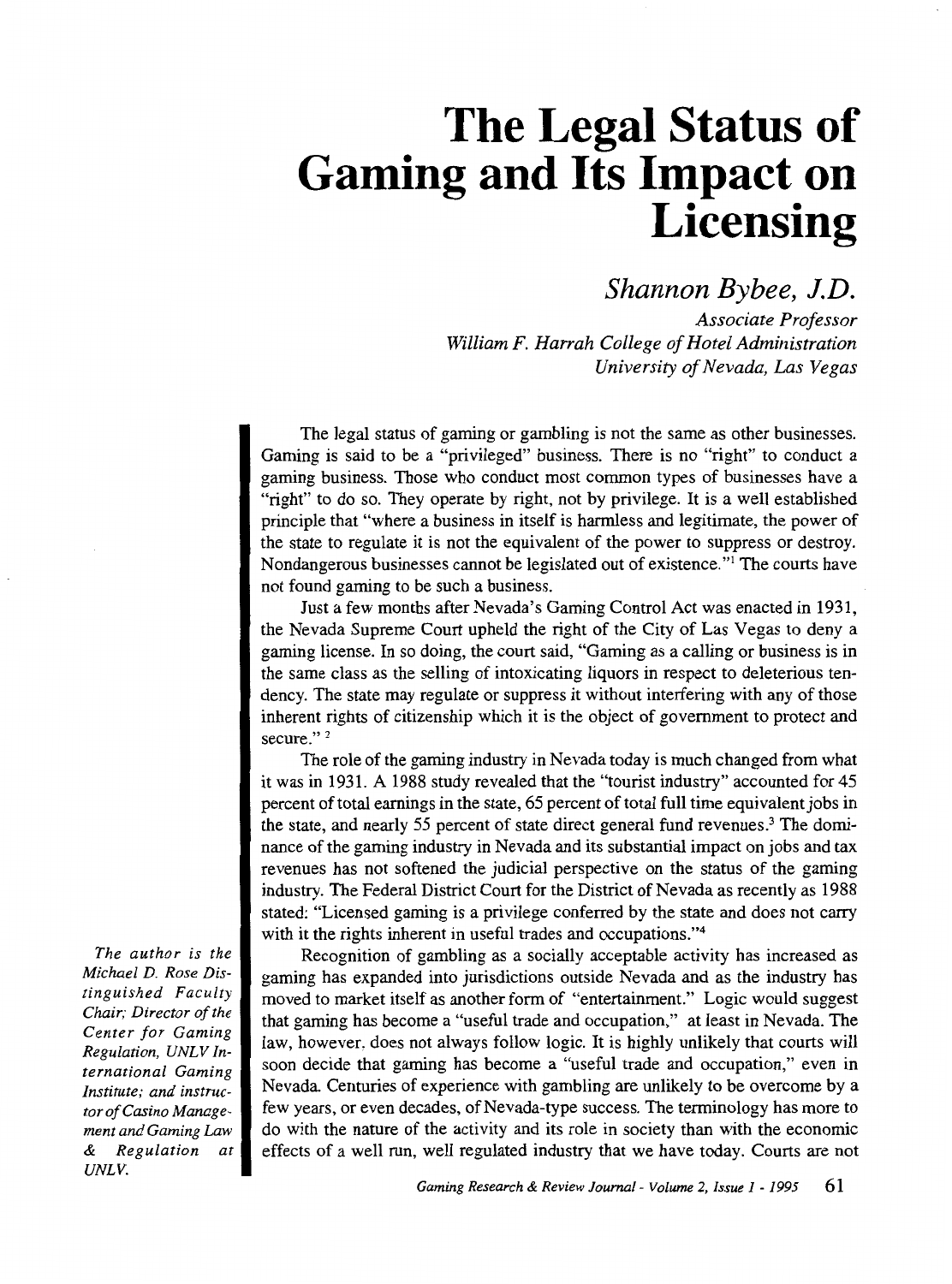# **The Legal Status of Gaming and Its Impact on Licensing**

# *Shannon Bybee, J.D.*

*Associate Professor William F. Harrah College of Hotel Administration University of Nevada, Las Vegas* 

The legal status of gaming or gambling is not the same as other businesses. Gaming is said to be a "privileged" business. There is no "right" to conduct a gaming business. Those who conduct most common types of businesses have a "right" to do so. They operate by right, not by privilege. It is a well established principle that "where a business in itself is harmless and legitimate, the power of the state to regulate it is not the equivalent of the power to suppress or destroy. Nondangerous businesses cannot be legislated out of existence."<sup>1</sup> The courts have not found gaming to be such a business.

Just a few months after Nevada's Gaming Control Act was enacted in 1931, the Nevada Supreme Court upheld the right of the City of Las Vegas to deny a gaming license. In so doing, the court said, "Gaming as a calling or business is in the same class as the selling of intoxicating liquors in respect to deleterious tendency. The state may regulate or suppress it without interfering with any of those inherent rights of citizenship which it is the object of government to protect and secure."<sup>2</sup>

The role of the gaming industry in Nevada today is much changed from what it was in 1931. A 1988 study revealed that the "tourist industry" accounted for 45 percent of total earnings in the state, 65 percent of total full time equivalent jobs in the state, and nearly 55 percent of state direct general fund revenues.3 The dominance of the gaming industry in Nevada and its substantial impact on jobs and tax revenues has not softened the judicial perspective on the status of the gaming industry. The Federal District Court for the District of Nevada as recently as 1988 stated: "Licensed gaming is a privilege conferred by the state and does not carry with it the rights inherent in useful trades and occupations."<sup>4</sup>

Recognition of gambling as a socially acceptable activity has increased as gaming has expanded into jurisdictions outside Nevada and as the industry has moved to market itself as another form of "entertainment." Logic would suggest that gaming has become a "useful trade and occupation," at least in Nevada. The law, however, does not always follow logic. It is highly unlikely that courts will soon decide that gaming has become a "useful trade and occupation," even in Nevada Centuries of experience with gambling are unlikely to be overcome by a few years, or even decades, of Nevada-type success. The terminology has more to do with the nature of the activity and its role in society than with the economic effects of a well run, well regulated industry that we have today. Courts are not

*The author is the Michael D. Rose Distinguished Faculty Chair; Director of the Center for Gaming Regulation, UNL V International Gaming Institute; and instructor of Casino Management and Gaming Law & Regulation at UNLV.*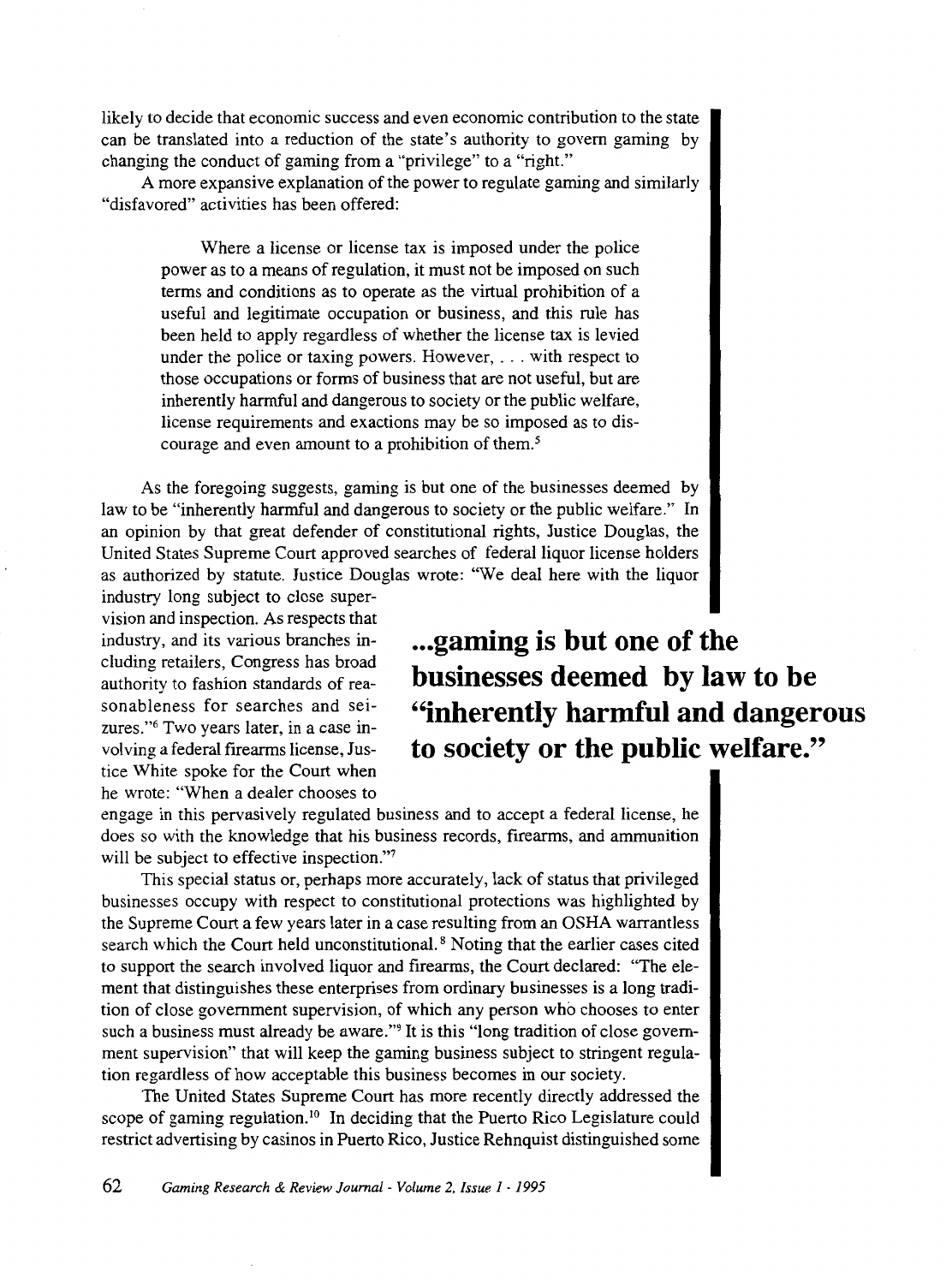likely to decide that economic success and even economic contribution to the state can be translated into a reduction of the state's authority to govern gaming by changing the conduct of gaming from a "privilege" to a "right."

A more expansive explanation of the power to regulate gaming and similarly "disfavored" activities has been offered:

Where a license or license tax is imposed under the police power as to a means of regulation, it must not be imposed on such terms and conditions as to operate as the virtual prohibition of a useful and legitimate occupation or business, and this rule has been held to apply regardless of whether the license tax is levied under the police or taxing powers. However, ... with respect to those occupations or forms of business that are not useful, but are inherently harmful and dangerous to society or the public welfare, license requirements and exactions may be so imposed as to discourage and even amount to a prohibition of them.<sup>5</sup>

As the foregoing suggests, gaming is but one of the businesses deemed by law to be "inherently harmful and dangerous to society or the public welfare." In an opinion by that great defender of constitutional rights, Justice Douglas, the United States Supreme Court approved searches of federal liquor license holders as authorized by statute. Justice Douglas wrote: "We deal here with the liquor

industry long subject to close supervision and inspection. As respects that industry, and its various branches including retailers, Congress has broad authority to fashion standards of reasonableness for searches and seizures."6 Two years later, in a case involving a federal firearms license, Justice White spoke for the Court when he wrote: "When a dealer chooses to

**... gaming is but one of the businesses deemed by law to be "inherently harmful and dangerous to society or the public welfare."** 

engage in this pervasively regulated business and to accept a federal license, he does so with the knowledge that his business records, firearms, and ammunition will be subject to effective inspection."

This special status or, perhaps more accurately, lack of status that privileged businesses occupy with respect to constitutional protections was highlighted by the Supreme Court a few years later in a case resulting from an OSHA warrantless search which the Court held unconstitutional. 8 Noting that the earlier cases cited to support the search involved liquor and firearms, the Court declared: "The element that distinguishes these enterprises from ordinary businesses is a long tradition of close government supervision, of which any person who chooses to enter such a business must already be aware."<sup>9</sup> It is this "long tradition of close government supervision" that will keep the gaming business subject to stringent regulation regardless of how acceptable this business becomes in our society.

The United States Supreme Court has more recently directly addressed the scope of gaming regulation.<sup>10</sup> In deciding that the Puerto Rico Legislature could restrict advertising by casinos in Puerto Rico, Justice Rehnquist distinguished some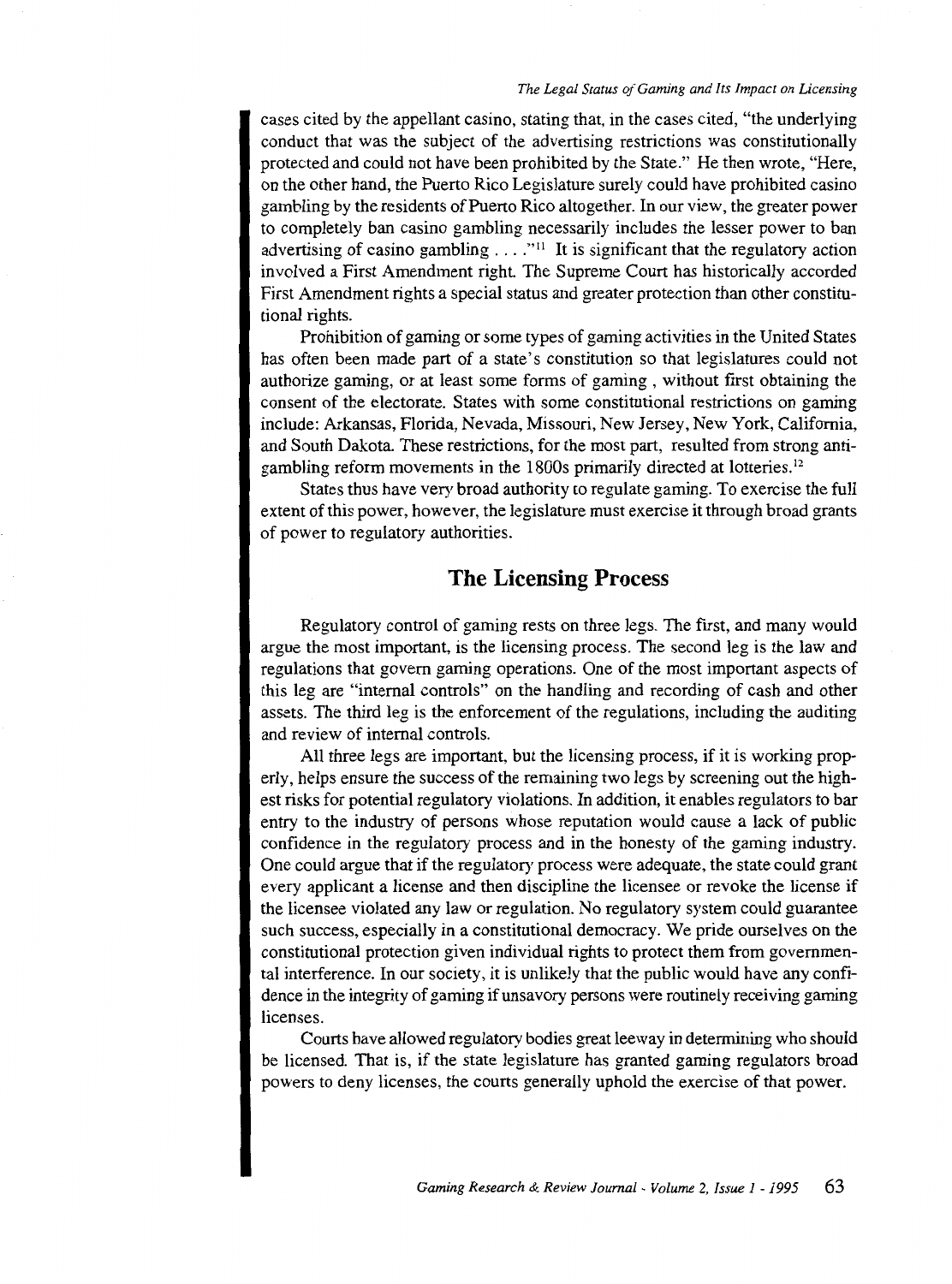#### *The Legal Status of Gaming and Its Impact on Licensing*

cases cited by the appellant casino, stating that, in the cases cited, "the underlying conduct that was the subject of the advertising restrictions was constitutionally protected and could not have been prohibited by the State." He then wrote, "Here, on the other hand, the Puerto Rico Legislature surely could have prohibited casino gambling by the residents of Puerto Rico altogether. In our view, the greater power to completely ban casino gambling necessarily includes the lesser power to ban advertising of casino gambling  $\dots$ ."<sup>11</sup> It is significant that the regulatory action involved a First Amendment right. The Supreme Court has historically accorded First Amendment rights a special status and greater protection than other constitutional rights.

Prohibition of gaming or some types of gaming activities in the United States has often been made part of a state's constitution so that legislatures could not authorize gaming, or at least some forms of gaming , without first obtaining the consent of the electorate. States with some constitutional restrictions on gaming include: Arkansas, Florida, Nevada, Missouri, New Jersey, New York, California, and South Dakota. These restrictions, for the most part, resulted from strong antigambling reform movements in the 1800s primarily directed at lotteries. 12

States thus have very broad authority to regulate gaming. To exercise the full extent of this power, however, the legislature must exercise it through broad grants of power to regulatory authorities.

## **The Licensing Process**

Regulatory control of gaming rests on three legs. The first, and many would argue the most important, is the licensing process. The second leg is the law and regulations that govern gaming operations. One of the most important aspects of this leg are "internal controls" on the handling and recording of cash and other assets. The third leg is the enforcement of the regulations, including the auditing and review of internal controls.

All three legs are important, but the licensing process, if it is working properly, helps ensure the success of the remaining two legs by screening out the highest risks for potential regulatory violations. In addition, it enables regulators to bar entry to the industry of persons whose reputation would cause a lack of public confidence in the regulatory process and in the honesty of the gaming industry. One could argue that if the regulatory process were adequate, the state could grant every applicant a license and then discipline the licensee or revoke the license if the licensee violated any law or regulation. No regulatory system could guarantee such success, especially in a constitutional democracy. We pride ourselves on the constitutional protection given individual rights to protect them from governmental interference. In our society, it is unlikely that the public would have any confidence in the integrity of gaming if unsavory persons were routinely receiving gaming licenses.

Courts have allowed regulatory bodies great leeway in determining who should be licensed. That is, if the state legislature has granted gaming regulators broad powers to deny licenses, the courts generally uphold the exercise of that power.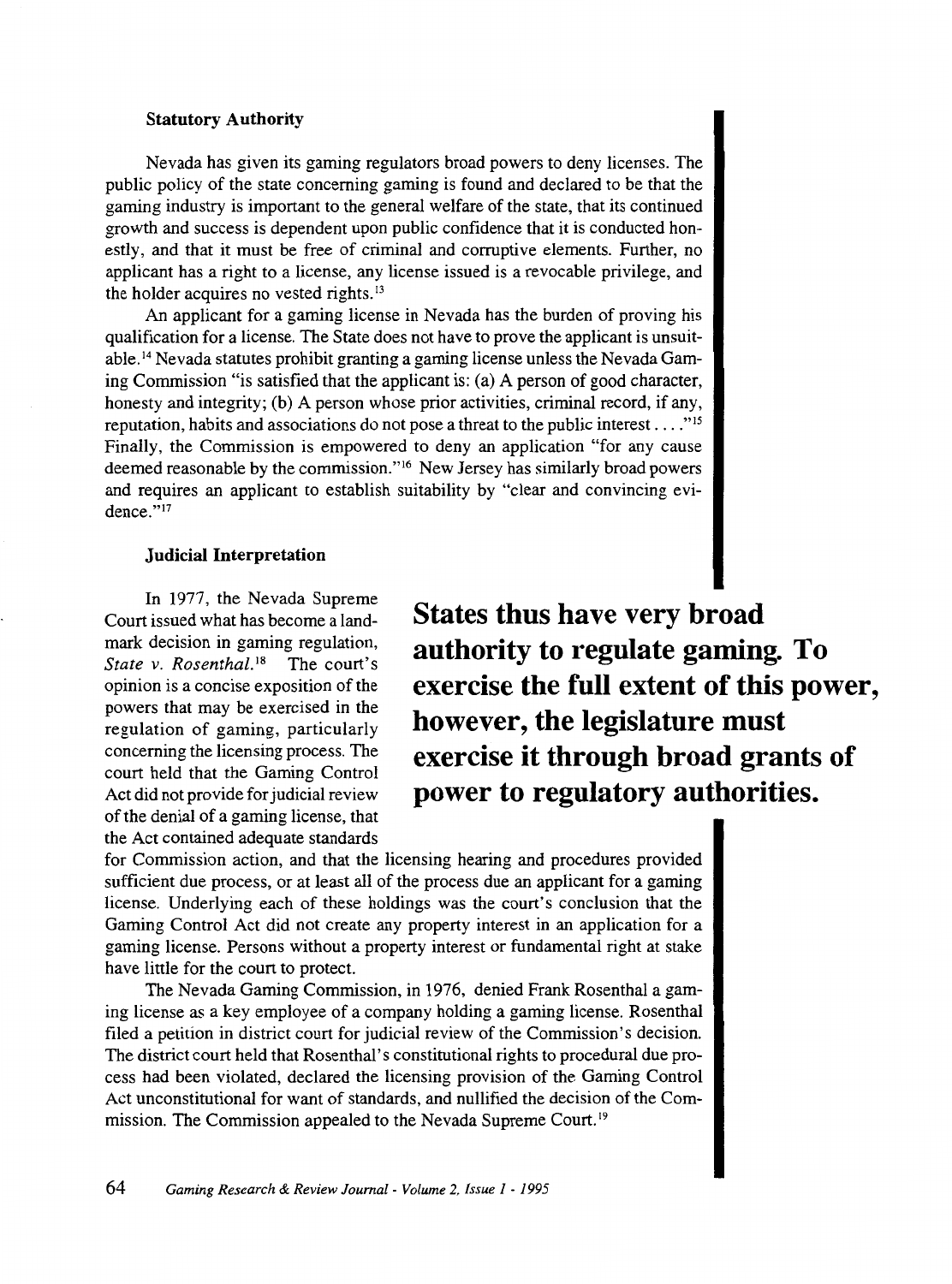#### **Statutory Authority**

Nevada has given its gaming regulators broad powers to deny licenses. The public policy of the state concerning gaming is found and declared to be that the gaming industry is important to the general welfare of the state, that its continued growth and success is dependent upon public confidence that it is conducted honestly, and that it must be free of criminal and corruptive elements. Further, no applicant has a right to a license, any license issued is a revocable privilege, and the holder acquires no vested rights.<sup>13</sup>

An applicant for a gaming license in Nevada has the burden of proving his qualification for a license. The State does not have to prove the applicant is unsuitable.14 Nevada statutes prohibit granting a gaming license unless the Nevada Gaming Commission "is satisfied that the applicant is: (a) A person of good character, honesty and integrity; (b) A person whose prior activities, criminal record, if any, reputation, habits and associations do not pose a threat to the public interest  $\dots$ ."<sup>15</sup> Finally, the Commission is empowered to deny an application "for any cause deemed reasonable by the commission."<sup>16</sup> New Jersey has similarly broad powers and requires an applicant to establish suitability by "clear and convincing evidence."17

#### **Judicial Interpretation**

In 1977, the Nevada Supreme Court issued what has become a landmark decision in gaming regulation, *State v. Rosenthal.*<sup>18</sup> The court's opinion is a concise exposition of the powers that may be exercised in the regulation of gaming, particularly concerning the licensing process. The court held that the Gaming Control Act did not provide for judicial review of the denial of a gaming license, that the Act contained adequate standards

**States thus have very broad authority to regulate gaming. To exercise the full extent of this power, however, the legislature must exercise it through broad grants of power to regulatory authorities.** 

for Commission action, and that the licensing hearing and procedures provided sufficient due process, or at least all of the process due an applicant for a gaming license. Underlying each of these holdings was the court's conclusion that the Gaming Control Act did not create any property interest in an application for a gaming license. Persons without a property interest or fundamental right at stake have little for the court to protect.

The Nevada Gaming Commission, in 1976, denied Frank Rosenthal a gaming license as a key employee of a company holding a gaming license. Rosenthal filed a petition in district court for judicial review of the Commission's decision. The district court held that Rosenthal's constitutional rights to procedural due process had been violated, declared the licensing provision of the Gaming Control Act unconstitutional for want of standards, and nullified the decision of the Commission. The Commission appealed to the Nevada Supreme Court.<sup>19</sup>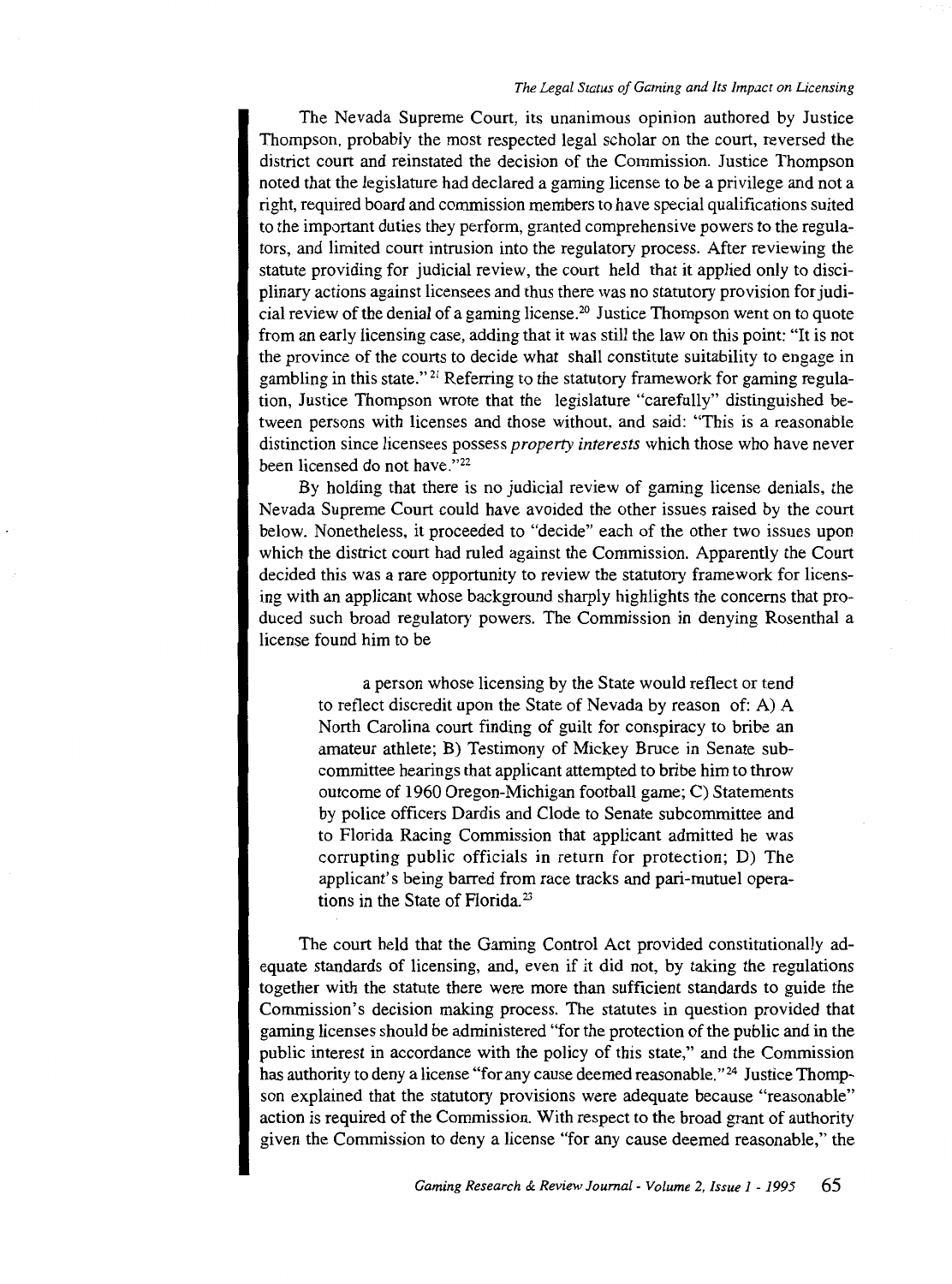#### *The Legal Status of Gaming and Its Impact on Licensing*

The Nevada Supreme Court, its unanimous opinion authored by Justice Thompson, probably the most respected legal scholar on the court, reversed the district court and reinstated the decision of the Commission. Justice Thompson noted that the legislature had declared a gaming license to be a privilege and not a right, required board and commission members to have special qualifications suited to the important duties they perform, granted comprehensive powers to the regulators, and limited court intrusion into the regulatory process. After reviewing the statute providing for judicial review, the court held that it applied only to disciplinary actions against licensees and thus there was no statutory provision for judicial review of the denial of a gaming license. 20 Justice Thompson went on to quote from an early licensing case, adding that it was still the law on this point: "It is not the province of the courts to decide what shall constitute suitability to engage in gambling in this state." 21 Referring to the statutory framework for gaming regulation, Justice Thompson wrote that the legislature "carefully" distinguished between persons with licenses and those without, and said: "This is a reasonable distinction since licensees possess *property interests* which those who have never been licensed do not have."<sup>22</sup>

By holding that there is no judicial review of gaming license denials, the Nevada Supreme Court could have avoided the other issues raised by the court below. Nonetheless, it proceeded to "decide" each of the other two issues upon which the district court had ruled against the Commission. Apparently the Court decided this was a rare opportunity to review the statutory framework for licensing with an applicant whose background sharply highlights the concerns that produced such broad regulatory powers. The Commission in denying Rosenthal a license found him to be

a person whose licensing by the State would reflect or tend to reflect discredit upon the State of Nevada by reason of: A) A North Carolina court finding of guilt for conspiracy to bribe an amateur athlete; B) Testimony of Mickey Bruce in Senate subcommittee hearings that applicant attempted to bribe him to throw outcome of 1960 Oregon-Michigan football game; C) Statements by police officers Dardis and Clode to Senate subcommittee and to Florida Racing Commission that applicant admitted he was corrupting public officials in return for protection; D) The applicant's being barred from race tracks and pari-mutuel operations in the State of Florida. 23

The court held that the Gaming Control Act provided constitutionally adequate standards of licensing, and, even if it did not, by taking the regulations together with the statute there were more than sufficient standards to guide the Commission's decision making process. The statutes in question provided that gaming licenses should be administered "for the protection of the public and in the public interest in accordance with the policy of this state," and the Commission has authority to deny a license "for any cause deemed reasonable."<sup>24</sup> Justice Thompson explained that the statutory provisions were adequate because "reasonable" action is required of the Commission. With respect to the broad grant of authority given the Commission to deny a license "for any cause deemed reasonable," the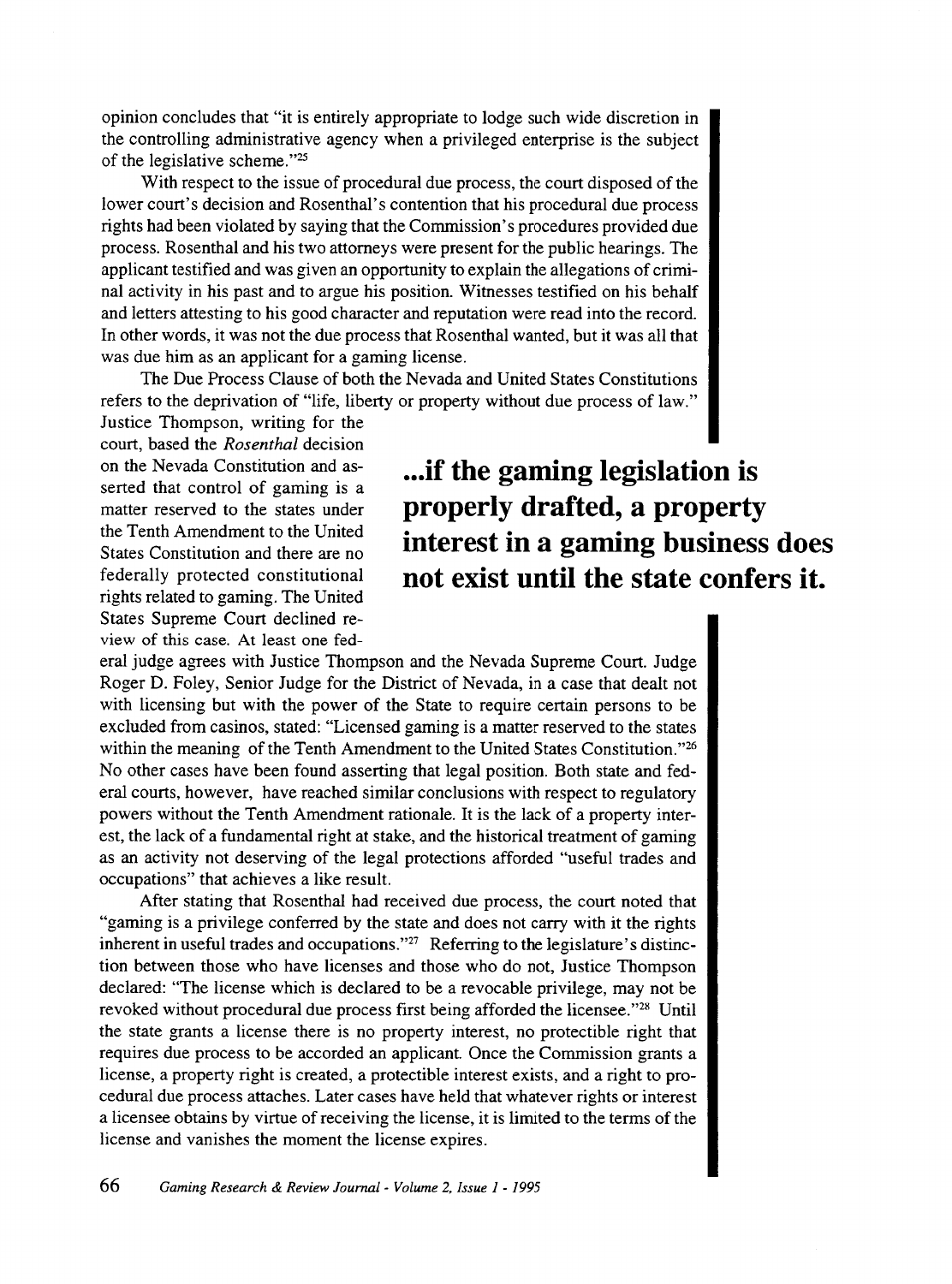opinion concludes that "it is entirely appropriate to lodge such wide discretion in the controlling administrative agency when a privileged enterprise is the subject of the legislative scheme."25

With respect to the issue of procedural due process, the court disposed of the lower court's decision and Rosenthal's contention that his procedural due process rights had been violated by saying that the Commission's procedures provided due process. Rosenthal and his two attorneys were present for the public hearings. The applicant testified and was given an opportunity to explain the allegations of criminal activity in his past and to argue his position. Witnesses testified on his behalf and letters attesting to his good character and reputation were read into the record. In other words, it was not the due process that Rosenthal wanted, but it was all that was due him as an applicant for a gaming license.

The Due Process Clause of both the Nevada and United States Constitutions refers to the deprivation of "life, liberty or property without due process of law."

Justice Thompson, writing for the court, based the *Rosenthal* decision on the Nevada Constitution and asserted that control of gaming is a matter reserved to the states under the Tenth Amendment to the United States Constitution and there are no federally protected constitutional rights related to gaming. The United States Supreme Court declined review of this case. At least one fed-

**... if the gaming legislation is properly drafted, a property interest in a gaming business does not exist until the state confers it.** 

eral judge agrees with Justice Thompson and the Nevada Supreme Court. Judge Roger D. Foley, Senior Judge for the District of Nevada, in a case that dealt not with licensing but with the power of the State to require certain persons to be excluded from casinos, stated: "Licensed gaming is a matter reserved to the states within the meaning of the Tenth Amendment to the United States Constitution."<sup>26</sup> No other cases have been found asserting that legal position. Both state and federal courts, however, have reached similar conclusions with respect to regulatory powers without the Tenth Amendment rationale. It is the lack of a property interest, the lack of a fundamental right at stake, and the historical treatment of gaming as an activity not deserving of the legal protections afforded "useful trades and occupations" that achieves a like result.

After stating that Rosenthal had received due process, the court noted that "gaming is a privilege conferred by the state and does not carry with it the rights inherent in useful trades and occupations."27 Referring to the legislature's distinction between those who have licenses and those who do not, Justice Thompson declared: "The license which is declared to be a revocable privilege, may not be revoked without procedural due process first being afforded the licensee."28 Until the state grants a license there is no property interest, no protectible right that requires due process to be accorded an applicant Once the Commission grants a license, a property right is created, a protectible interest exists, and a right to procedural due process attaches. Later cases have held that whatever rights or interest a licensee obtains by virtue of receiving the license, it is limited to the terms of the license and vanishes the moment the license expires.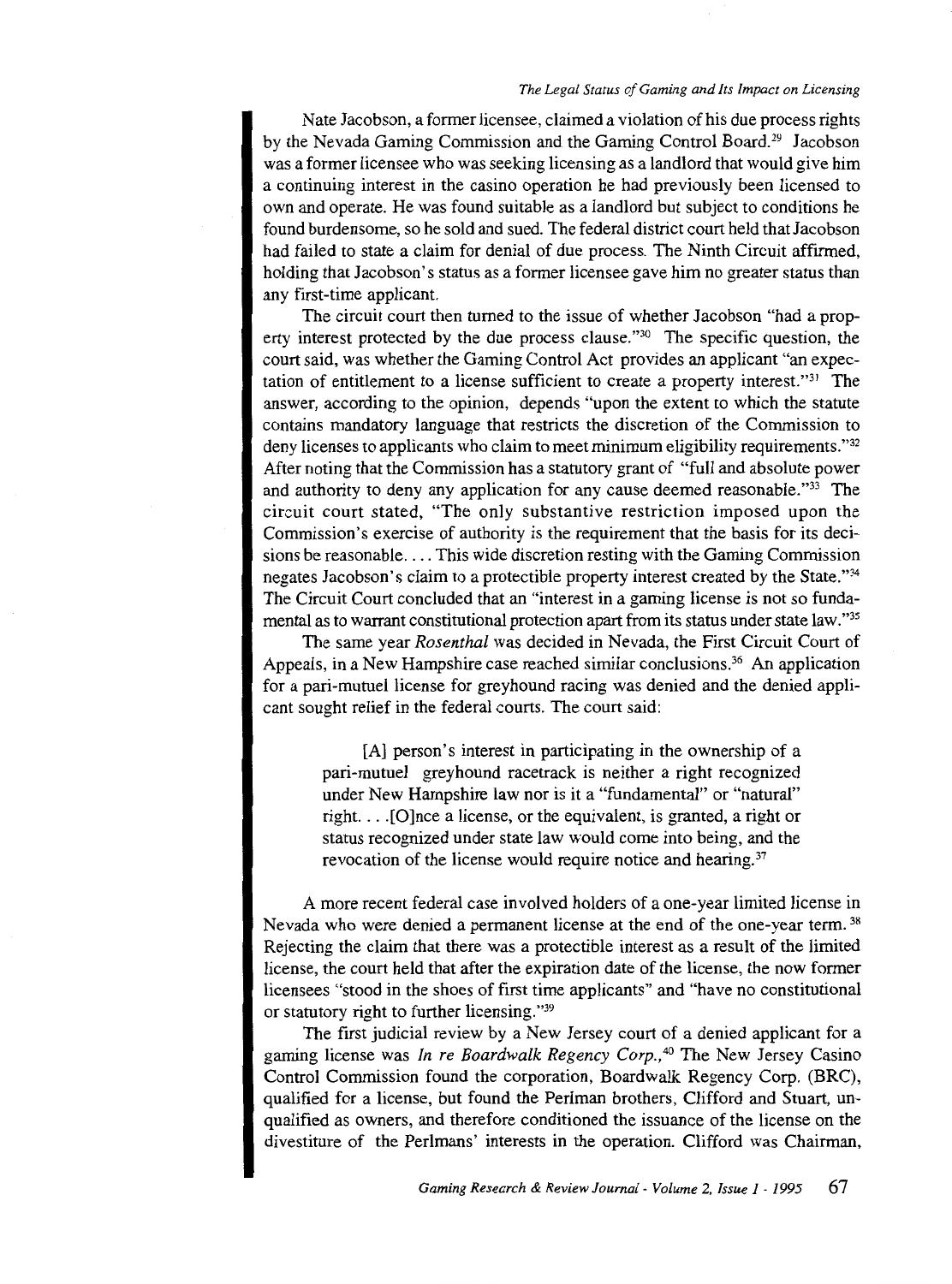#### *The Legal Status of Gaming and Its Impact on Licensing*

Nate Jacobson, a former licensee, claimed a violation of his due process rights by the Nevada Gaming Commission and the Gaming Control Board.<sup>29</sup> Jacobson was a former licensee who was seeking licensing as a landlord that would give him a continuing interest in the casino operation he had previously been licensed to own and operate. He was found suitable as a landlord but subject to conditions he found burdensome, so he sold and sued. The federal district court held that Jacobson had failed to state a claim for denial of due process. The Ninth Circuit affirmed, holding that Jacobson's status as a former licensee gave him no greater status than any first-time applicant.

The circuit court then turned to the issue of whether Jacobson "had a property interest protected by the due process clause."30 The specific question, the court said, was whether the Gaming Control Act provides an applicant "an expectation of entitlement to a license sufficient to create a property interest."31 The answer, according to the opinion, depends "upon the extent to which the statute contains mandatory language that restricts the discretion of the Commission to deny licenses to applicants who claim to meet minimum eligibility requirements."<sup>32</sup> After noting that the Commission has a statutory grant of "full and absolute power and authority to deny any application for any cause deemed reasonable."33 The circuit court stated, "The only substantive restriction imposed upon the Commission's exercise of authority is the requirement that the basis for its decisions be reasonable .... This wide discretion resting with the Gaming Commission negates Jacobson's claim to a protectible property interest created by the State."34 The Circuit Court concluded that an "interest in a gaming license is not so fundamental as to warrant constitutional protection apart from its status under state law. "35

The same year *Rosenthal* was decided in Nevada, the First Circuit Court of Appeals, in a New Hampshire case reached similar conclusions.<sup>36</sup> An application for a pari-mutuel license for greyhound racing was denied and the denied applicant sought relief in the federal courts. The court said:

> [A] person's interest in participating in the ownership of a pari-mutuel greyhound racetrack is neither a right recognized under New Hampshire law nor is it a "fundamental" or "natural" right. ... [O]nce a license, or the equivalent, is granted, a right or status recognized under state law would come into being, and the revocation of the license would require notice and hearing.<sup>37</sup>

A more recent federal case involved holders of a one-year limited license in Nevada who were denied a permanent license at the end of the one-year term.<sup>38</sup> Rejecting the claim that there was a protectible interest as a result of the limited license, the court held that after the expiration date of the license, the now former licensees "stood in the shoes of first time applicants" and "have no constitutional or statutory right to further licensing."39

The first judicial review by a New Jersey court of a denied applicant for a gaming license was *In re Boardwalk Regency Corp., <sup>40</sup>*The New Jersey Casino Control Commission found the corporation, Boardwalk Regency Corp. (BRC), qualified for a license, but found the Perlman brothers, Clifford and Stuart, unqualified as owners, and therefore conditioned the issuance of the license on the divestiture of the Perlmans' interests in the operation. Clifford was Chairman,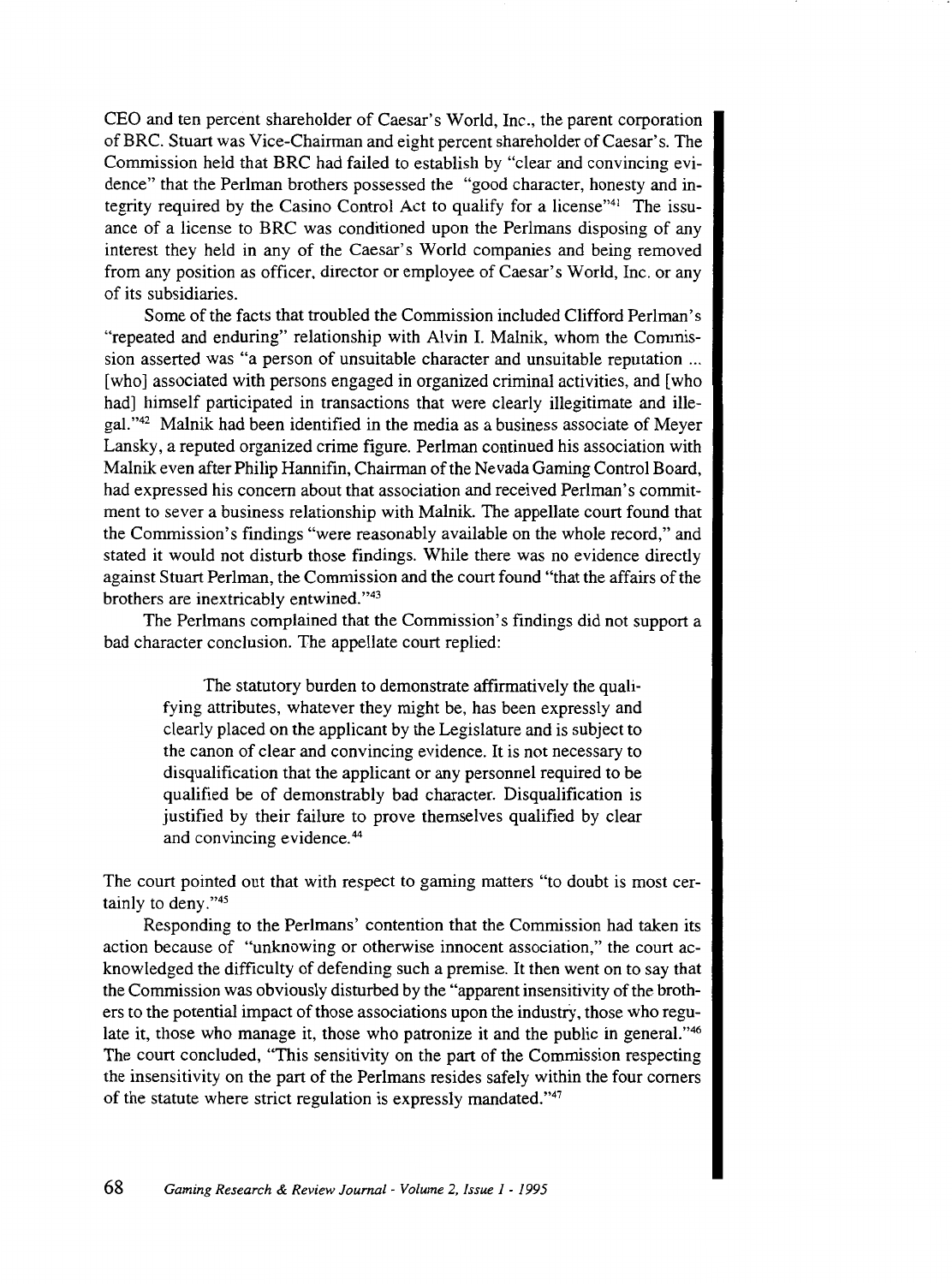CEO and ten percent shareholder of Caesar's World, Inc., the parent corporation of BRC. Stuart was Vice-Chairman and eight percent shareholder of Caesar's. The Commission held that BRC had failed to establish by "clear and convincing evidence" that the Perlman brothers possessed the "good character, honesty and integrity required by the Casino Control Act to qualify for a license"<sup>41</sup> The issuance of a license to BRC was conditioned upon the Perlmans disposing of any interest they held in any of the Caesar's World companies and being removed from any position as officer, director or employee of Caesar's World, Inc. or any of its subsidiaries.

Some of the facts that troubled the Commission included Clifford Perlman's "repeated and enduring" relationship with Alvin I. Malnik, whom the Commission asserted was "a person of unsuitable character and unsuitable reputation ... [who] associated with persons engaged in organized criminal activities, and [who had] himself participated in transactions that were clearly illegitimate and illegal."42 Malnik had been identified in the media as a business associate of Meyer Lansky, a reputed organized crime figure. Perlman continued his association with Malnik even after Philip Hannifin, Chairman of the Nevada Gaming Control Board, had expressed his concern about that association and received Perlman's commitment to sever a business relationship with Malnik. The appellate court found that the Commission's findings "were reasonably available on the whole record," and stated it would not disturb those findings. While there was no evidence directly against Stuart Perlman, the Commission and the court found "that the affairs of the brothers are inextricably entwined."43

The Perlmans complained that the Commission's findings did not support a bad character conclusion. The appellate court replied:

The statutory burden to demonstrate affirmatively the qualifying attributes, whatever they might be, has been expressly and clearly placed on the applicant by the Legislature and is subject to the canon of clear and convincing evidence. It is not necessary to disqualification that the applicant or any personnel required to be qualified be of demonstrably bad character. Disqualification is justified by their failure to prove themselves qualified by clear and convincing evidence. 44

The court pointed out that with respect to gaming matters "to doubt is most certainly to deny."<sup>45</sup>

Responding to the Perlmans' contention that the Commission had taken its action because of "unknowing or otherwise innocent association," the court acknowledged the difficulty of defending such a premise. It then went on to say that the Commission was obviously disturbed by the "apparent insensitivity of the brothers to the potential impact of those associations upon the industry, those who regulate it, those who manage it, those who patronize it and the public in general."<sup>46</sup> The court concluded, "This sensitivity on the part of the Commission respecting the insensitivity on the part of the Perlmans resides safely within the four corners of the statute where strict regulation is expressly mandated."<sup>47</sup>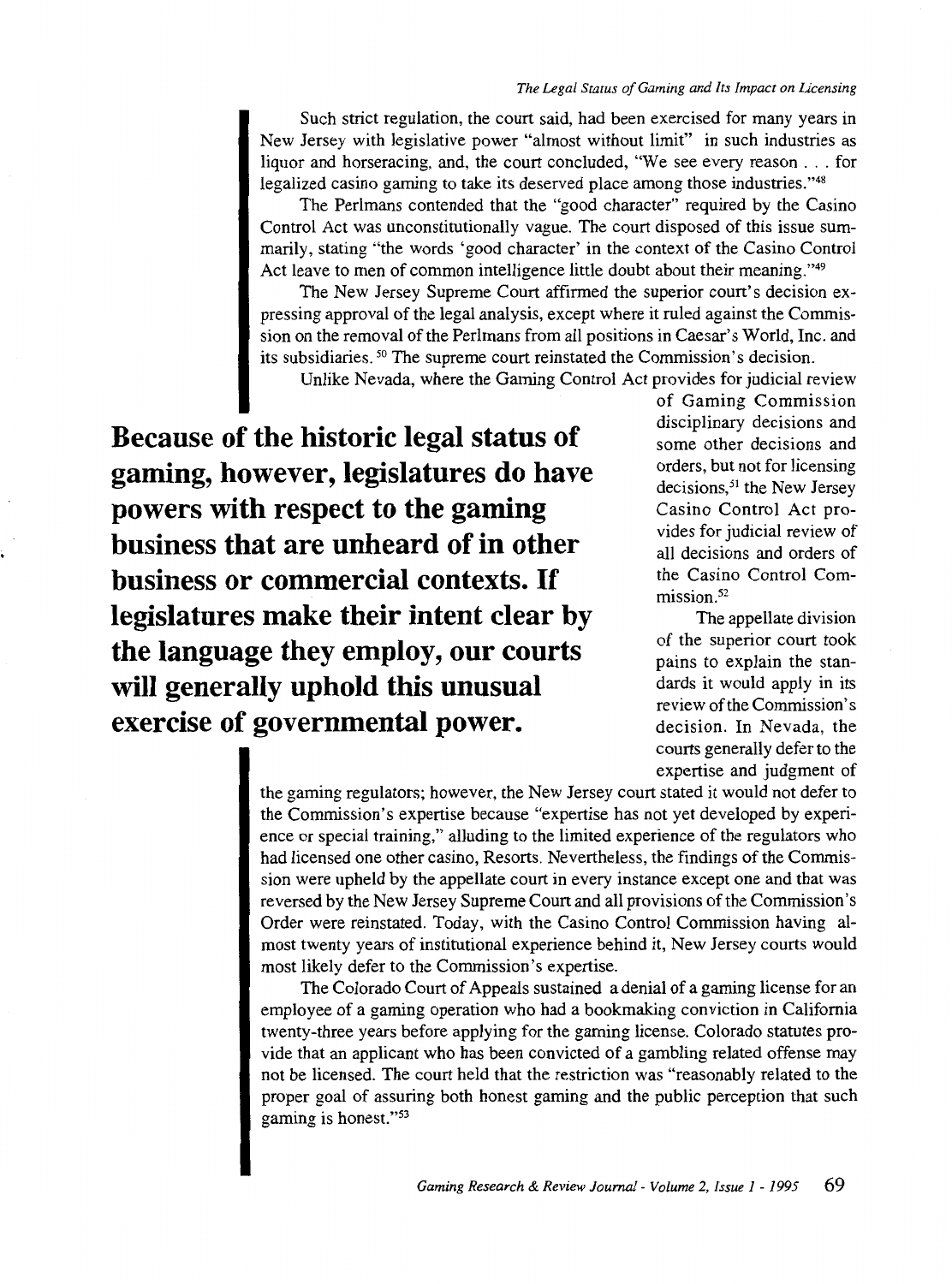Such strict regulation, the court said, had been exercised for many years in New Jersey with legislative power "almost without limit" in such industries as liquor and horseracing, and, the court concluded, "We see every reason . . . for legalized casino gaming to take its deserved place among those industries."48

The Perlmans contended that the "good character" required by the Casino Control Act was unconstitutionally vague. The court disposed of this issue summarily, stating "the words 'good character' in the context of the Casino Control Act leave to men of common intelligence little doubt about their meaning."<sup>49</sup>

The New Jersey Supreme Court affirmed the superior court's decision expressing approval of the legal analysis, except where it ruled against the Commission on the removal of the Perlmans from all positions in Caesar's World, Inc. and its subsidiaries. 50 The supreme court reinstated the Commission's decision.

Unlike Nevada, where the Gaming Control Act provides for judicial review

**Because of the historic legal status of gaming, however, legislatures do have powers with respect to the gaming business that are unheard of in other business or commercial contexts. If legislatures make their intent clear by the language they employ, our courts will generally uphold this unusual exercise of governmental power.** 

of Gaming Commission disciplinary decisions and some other decisions and orders, but not for licensing decisions,<sup>51</sup> the New Jersey Casino Control Act provides for judicial review of all decisions and orders of the Casino Control Commission.<sup>52</sup>

The appellate division of the superior court took pains to explain the standards it would apply in its review of the Commission's decision. In Nevada, the courts generally defer to the expertise and judgment of

the gaming regulators; however, the New Jersey court stated it would not defer to the Commission's expertise because "expertise has not yet developed by experience or special training," alluding to the limited experience of the regulators who had licensed one other casino, Resorts. Nevertheless, the findings of the Commission were upheld by the appellate court in every instance except one and that was reversed by the New Jersey Supreme Court and all provisions of the Commission's Order were reinstated. Today, with the Casino Control Commission having almost twenty years of institutional experience behind it, New Jersey courts would most likely defer to the Commission's expertise.

The Colorado Court of Appeals sustained a denial of a gaming license for an employee of a gaming operation who had a bookmaking conviction in California twenty-three years before applying for the gaming license. Colorado statutes provide that an applicant who has been convicted of a gambling related offense may not be licensed. The court held that the restriction was "reasonably related to the proper goal of assuring both honest gaming and the public perception that such gaming is honest."53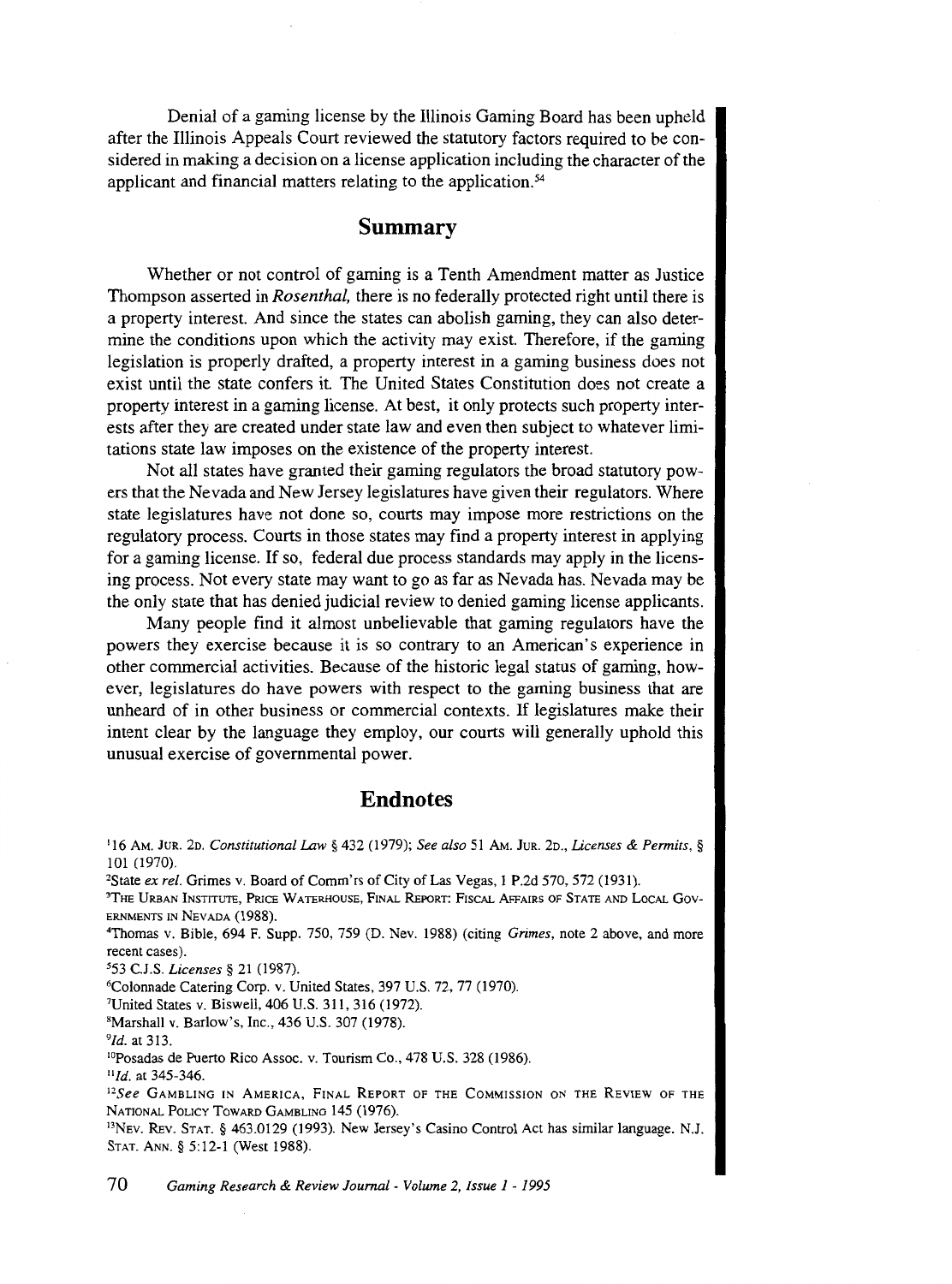Denial of a gaming license by the Illinois Gaming Board has been upheld after the Illinois Appeals Court reviewed the statutory factors required to be considered in making a decision on a license application including the character of the applicant and financial matters relating to the application.<sup>54</sup>

# **Summary**

Whether or not control of gaming is a Tenth Amendment matter as Justice Thompson asserted in *Rosenthal,* there is no federally protected right until there is a property interest. And since the states can abolish gaming, they can also determine the conditions upon which the activity may exist. Therefore, if the gaming legislation is properly drafted, a property interest in a gaming business does not exist until the state confers it. The United States Constitution does not create a property interest in a gaming license. At best, it only protects such property interests after they are created under state law and even then subject to whatever limitations state law imposes on the existence of the property interest.

Not all states have granted their gaming regulators the broad statutory powers that the Nevada and New Jersey legislatures have given their regulators. Where state legislatures have not done so, courts may impose more restrictions on the regulatory process. Courts in those states may find a property interest in applying for a gaming license. If so, federal due process standards may apply in the licensing process. Not every state may want to go as far as Nevada has. Nevada may be the only state that has denied judicial review to denied gaming license applicants.

Many people find it almost unbelievable that gaming regulators have the powers they exercise because it is so contrary to an American's experience in other commercial activities. Because of the historic legal status of gaming, however, legislatures do have powers with respect to the gaming business that are unheard of in other business or commercial contexts. If legislatures make their intent clear by the language they employ, our courts will generally uphold this unusual exercise of governmental power.

## **Endnotes**

1 16 AM. JuR. 2o. *Constitutional lAw* § 432 (1979); *See also* 51 AM. JuR. 2o., *Licenses* & *Permits,* § 101 (1970).

<sup>2</sup>State *ex rel.* Grimes v. Board of Comm'rs of City of Las Vegas, 1 P.2d 570, 572 (1931).

THE URBAN INSTITUTE, PRICE WATERHOUSE, FINAL REPORT: FISCAL AFFAIRS OF STATE AND LOCAL Gov-ERNMENTS IN NEVADA (1988). 4

Thomas v. Bible, 694 F. Supp. 750, 759 (D. Nev. 1988) (citing *Grimes,* note 2 above, and more recent cases).<br><sup>5</sup>53 C.J.S. *Licenses* § 21 (1987).

<sup>6</sup>Colonnade Catering Corp. v. United States, 397 U.S. 72, 77 (1970).

United States v. Biswell, 406 U.S. 311, 316 (1972).

sMarshall v. Barlow's, Inc., 436 U.S. 307 (1978).

<sup>9</sup>*Id.* at 313.

<sup>10</sup>Posadas de Puerto Rico Assoc. v. Tourism Co., 478 U.S. 328 (1986). <sup>11</sup>*Id.* at 345-346.

<sup>11</sup>*See* GAMBLING IN AMERICA, FINAL REPORT OF THE COMMISSION ON THE REVIEW OF THE NATIONAL POLICY TOWARD GAMBLING 145 (1976).<br><sup>13</sup>NEV. REV. STAT. § 463.0129 (1993). New Jersey's Casino Control Act has similar language. N.J.

STAT. ANN.§ 5:12-1 (West 1988).

70 *Gaming Research* & *Review Journal- Volume* 2, *Issue I* - *I995*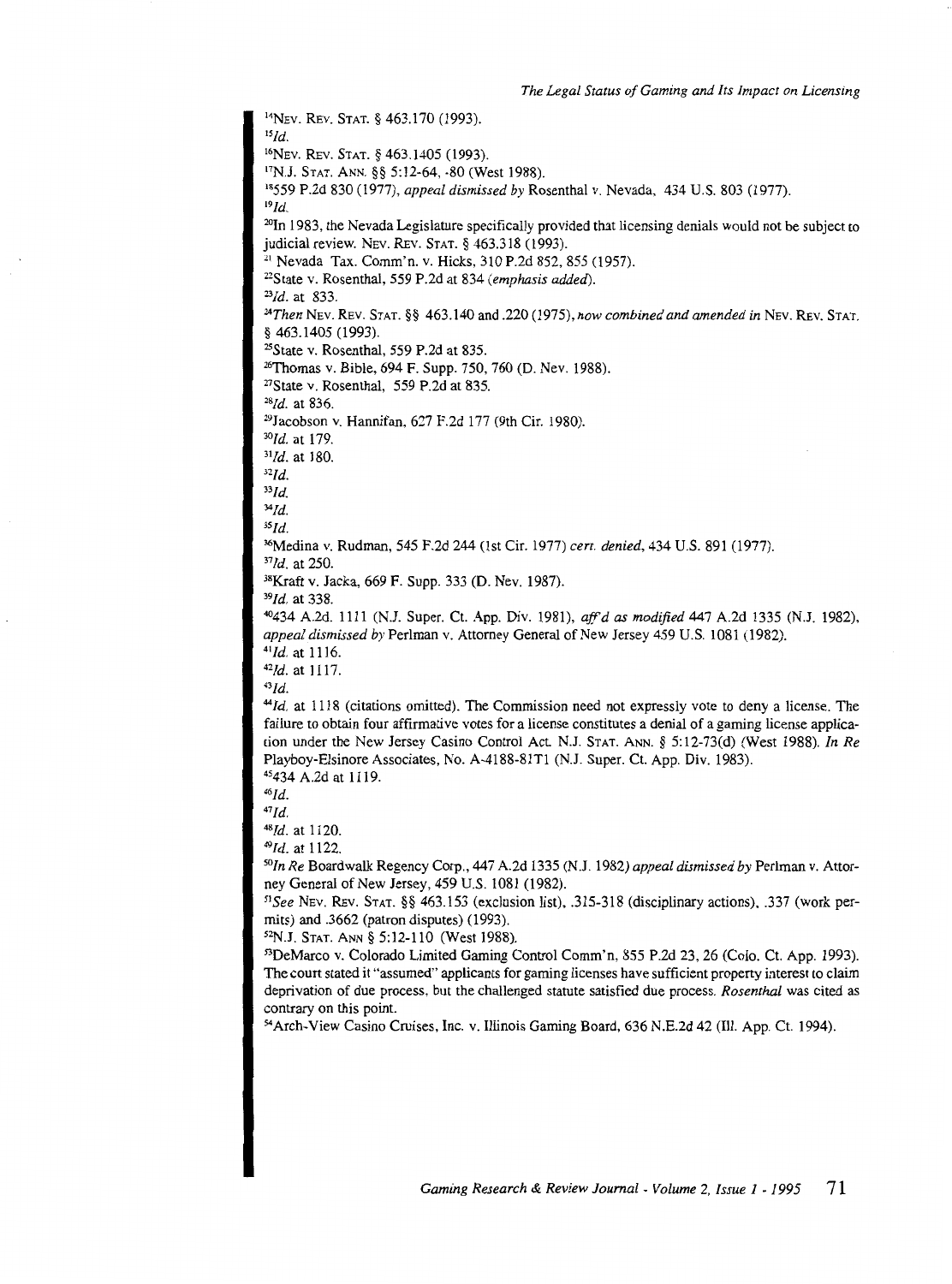14NEV. REV. STAT.§ 463.170 (1993). *15Id.*  16NEV. REV. STAT.§ 463.1405 (1993). 17N.J. STAT. ANN. §§ 5:12-64, -80 (West 1988). 18559 P.2d 830 (1977), *appeal dismissed by* Rosenthal v. Nevada, 434 U.S. 803 (1977). *19Id.*  20In 1983, the Nevada Legislature specifically provided that licensing denials would not be subject to judicial review. NEv. REv. STAT. § 463.318 (1993).<br><sup>21</sup> Nevada Tax. Comm'n. v. Hicks, 310 P.2d 852, 855 (1957). <sup>22</sup>State v. Rosenthal, 559 P.2d at 834 *(emphasis added)*. 23*Id.* at 833. *24Then* NEv. REV. STAT.§§ 463.140 and .220 (1975), *now combined and amended in* NEv. REv. STAT. <sup>25</sup>State v. Rosenthal, 559 P.2d at 835.<br><sup>26</sup>Thomas v. Bible, 694 F. Supp. 750, 760 (D. Nev. 1988). <sup>27</sup>State v. Rosenthal, 559 P.2d at 835. *28Id.* at 836. 29Jacobson v. Hannifan, 627 F.2d 177 (9th Cir. 1980). <sup>30</sup>*Id.* at 179. *<sup>31</sup> Id.* at 180. *32Id. 33Id. 34Id. 35Id.*  36Medina v. Rudman, 545 F.2d 244 (1st Cir. 1977) *cert. denied,* 434 U.S. 891 (1977). *37Id.* at 250. 38Kraft v. Jacka, 669 F. Supp. 333 (D. Nev. 1987). 39 *I d.* at 338. <sup>40</sup>434 A.2d. 1111 (N.J. Super. Ct. App. Div. 1981), *affd as modified* 447 A.2d 1335 (N.J. 1982), *appeal dismissed by* Perlman v. Attorney General of New Jersey 459 U.S. 1081 (1982). <sup>41</sup> *Id.* at 1116. *41Id.* at 1117.  $43Id$ . *44Id.* at 1118 (citations omitted). The Commission need not expressly vote to deny a license. The failure to obtain four affirmative votes for a license constitutes a denial of a gaming license application under the New Jersey Casino Control Act N.J. STAT. ANN.§ 5:12-73(d) (West 1988). *In Re*  Playboy-Elsinore Associates, No. A-4188-81Tl (N.J. Super. Ct. App. Div. 1983). 4 s434 A.2d at 1119. *46Id. 41Id.*  48Id. at 1120. *49Id.* at 1122. 50 *In Re* Boardwalk Regency Corp., 447 A.2d 1335 (N.J. 1982) *appeal dismissed by* Perlman v. Attorney General of New Jersey, 459 U.S. 1081 (1982). *<sup>51</sup> See* NEv. REv. STAT.§§ 463.153 (exclusion list), .315-318 (disciplinary actions), .337 (work permits) and .3662 (patron disputes) (1993).<br><sup>52</sup>N.J. STAT. ANN § 5:12-110 (West 1988).<br><sup>53</sup>DeMarco v. Colorado Limited Gaming Control Comm'n, 855 P.2d 23, 26 (Colo. Ct. App. 1993). The court stated it "assumed" applicants for gaming licenses have sufficient property interest to claim deprivation of due process, but the challenged statute satisfied due process. *Rosenthal* was cited as <sup>54</sup> Arch-View Casino Cruises, Inc. v. Illinois Gaming Board, 636 N.E.2d 42 (Ill. App. Ct. 1994).